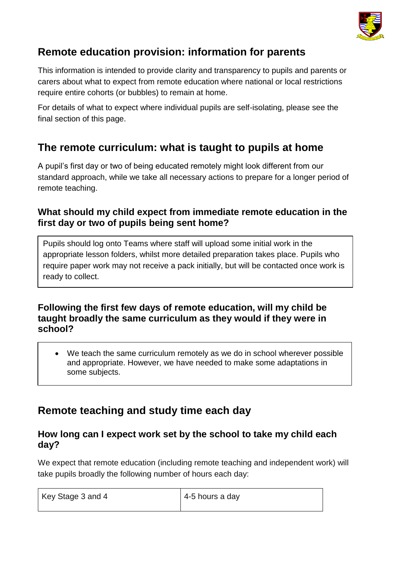

# **Remote education provision: information for parents**

This information is intended to provide clarity and transparency to pupils and parents or carers about what to expect from remote education where national or local restrictions require entire cohorts (or bubbles) to remain at home.

For details of what to expect where individual pupils are self-isolating, please see the final section of this page.

# **The remote curriculum: what is taught to pupils at home**

A pupil's first day or two of being educated remotely might look different from our standard approach, while we take all necessary actions to prepare for a longer period of remote teaching.

## **What should my child expect from immediate remote education in the first day or two of pupils being sent home?**

Pupils should log onto Teams where staff will upload some initial work in the appropriate lesson folders, whilst more detailed preparation takes place. Pupils who require paper work may not receive a pack initially, but will be contacted once work is ready to collect.

### **Following the first few days of remote education, will my child be taught broadly the same curriculum as they would if they were in school?**

• We teach the same curriculum remotely as we do in school wherever possible and appropriate. However, we have needed to make some adaptations in some subjects.

# **Remote teaching and study time each day**

### **How long can I expect work set by the school to take my child each day?**

We expect that remote education (including remote teaching and independent work) will take pupils broadly the following number of hours each day:

| Key Stage 3 and 4 | 4-5 hours a day |
|-------------------|-----------------|
|                   |                 |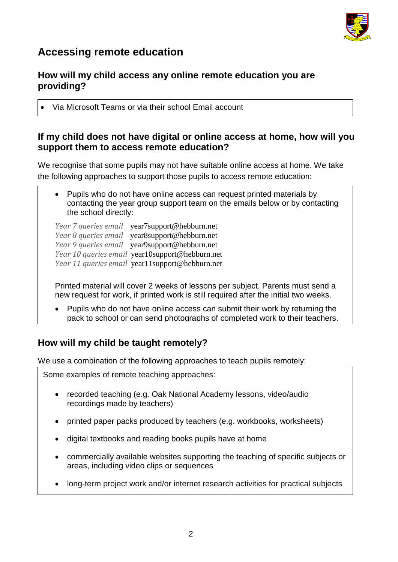

# **Accessing remote education**

### **How will my child access any online remote education you are providing?**

• Via Microsoft Teams or via their school Email account

### **If my child does not have digital or online access at home, how will you support them to access remote education?**

We recognise that some pupils may not have suitable online access at home. We take the following approaches to support those pupils to access remote education:

• Pupils who do not have online access can request printed materials by contacting the year group support team on the emails below or by contacting the school directly:

*Year 7 queries email* [year7support@hebburn.net](mailto:year7support@hebburn.net) *Year 8 queries email* [year8support@hebburn.net](mailto:year8support@hebburn.net) *Year 9 queries email* [year9support@hebburn.net](mailto:year9support@hebburn.net) *Year 10 queries email* [year10support@hebburn.net](mailto:year10support@hebburn.net) *Year 11 queries email* [year11support@hebburn.net](mailto:year11support@hebburn.net)

Printed material will cover 2 weeks of lessons per subject. Parents must send a new request for work, if printed work is still required after the initial two weeks.

• Pupils who do not have online access can submit their work by returning the pack to school or can send photographs of completed work to their teachers.

## **How will my child be taught remotely?**

We use a combination of the following approaches to teach pupils remotely:

Some examples of remote teaching approaches:

- recorded teaching (e.g. Oak National Academy lessons, video/audio recordings made by teachers)
- printed paper packs produced by teachers (e.g. workbooks, worksheets)
- digital textbooks and reading books pupils have at home
- commercially available websites supporting the teaching of specific subjects or areas, including video clips or sequences
- long-term project work and/or internet research activities for practical subjects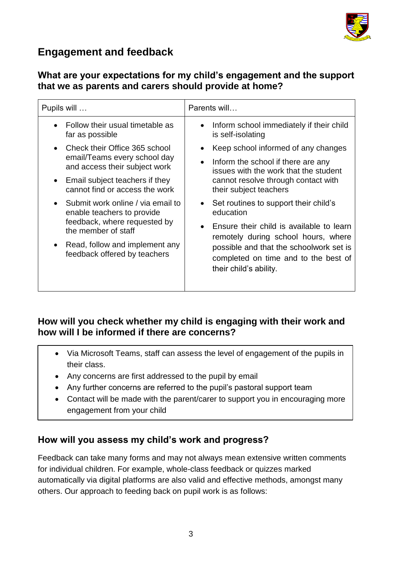

# **Engagement and feedback**

## **What are your expectations for my child's engagement and the support that we as parents and carers should provide at home?**

| Pupils will                                                                                                                         | Parents will                                                                                                                                                                                              |
|-------------------------------------------------------------------------------------------------------------------------------------|-----------------------------------------------------------------------------------------------------------------------------------------------------------------------------------------------------------|
| Follow their usual timetable as<br>far as possible                                                                                  | Inform school immediately if their child<br>$\bullet$<br>is self-isolating                                                                                                                                |
| Check their Office 365 school                                                                                                       | Keep school informed of any changes                                                                                                                                                                       |
| email/Teams every school day<br>and access their subject work                                                                       | Inform the school if there are any<br>$\bullet$<br>issues with the work that the student                                                                                                                  |
| Email subject teachers if they<br>$\bullet$<br>cannot find or access the work                                                       | cannot resolve through contact with<br>their subject teachers                                                                                                                                             |
| Submit work online / via email to<br>$\bullet$<br>enable teachers to provide<br>feedback, where requested by<br>the member of staff | Set routines to support their child's<br>$\bullet$<br>education                                                                                                                                           |
|                                                                                                                                     | Ensure their child is available to learn<br>$\bullet$<br>remotely during school hours, where<br>possible and that the schoolwork set is<br>completed on time and to the best of<br>their child's ability. |
| Read, follow and implement any<br>feedback offered by teachers                                                                      |                                                                                                                                                                                                           |

## **How will you check whether my child is engaging with their work and how will I be informed if there are concerns?**

- Via Microsoft Teams, staff can assess the level of engagement of the pupils in their class.
- Any concerns are first addressed to the pupil by email
- Any further concerns are referred to the pupil's pastoral support team
- Contact will be made with the parent/carer to support you in encouraging more engagement from your child

## **How will you assess my child's work and progress?**

Feedback can take many forms and may not always mean extensive written comments for individual children. For example, whole-class feedback or quizzes marked automatically via digital platforms are also valid and effective methods, amongst many others. Our approach to feeding back on pupil work is as follows: